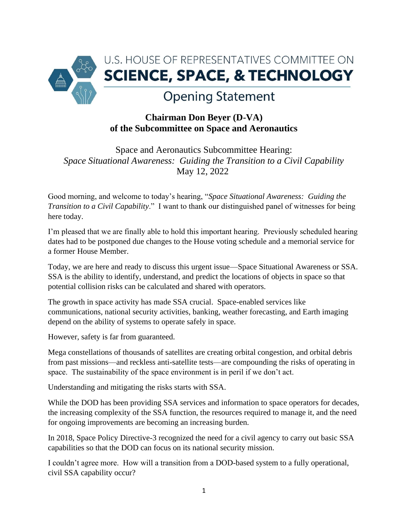

## **Chairman Don Beyer (D-VA) of the Subcommittee on Space and Aeronautics**

Space and Aeronautics Subcommittee Hearing: *Space Situational Awareness: Guiding the Transition to a Civil Capability* May 12, 2022

Good morning, and welcome to today's hearing, "*Space Situational Awareness: Guiding the Transition to a Civil Capability*." I want to thank our distinguished panel of witnesses for being here today.

I'm pleased that we are finally able to hold this important hearing. Previously scheduled hearing dates had to be postponed due changes to the House voting schedule and a memorial service for a former House Member.

Today, we are here and ready to discuss this urgent issue—Space Situational Awareness or SSA. SSA is the ability to identify, understand, and predict the locations of objects in space so that potential collision risks can be calculated and shared with operators.

The growth in space activity has made SSA crucial. Space-enabled services like communications, national security activities, banking, weather forecasting, and Earth imaging depend on the ability of systems to operate safely in space.

However, safety is far from guaranteed.

Mega constellations of thousands of satellites are creating orbital congestion, and orbital debris from past missions—and reckless anti-satellite tests—are compounding the risks of operating in space. The sustainability of the space environment is in peril if we don't act.

Understanding and mitigating the risks starts with SSA.

While the DOD has been providing SSA services and information to space operators for decades, the increasing complexity of the SSA function, the resources required to manage it, and the need for ongoing improvements are becoming an increasing burden.

In 2018, Space Policy Directive-3 recognized the need for a civil agency to carry out basic SSA capabilities so that the DOD can focus on its national security mission.

I couldn't agree more. How will a transition from a DOD-based system to a fully operational, civil SSA capability occur?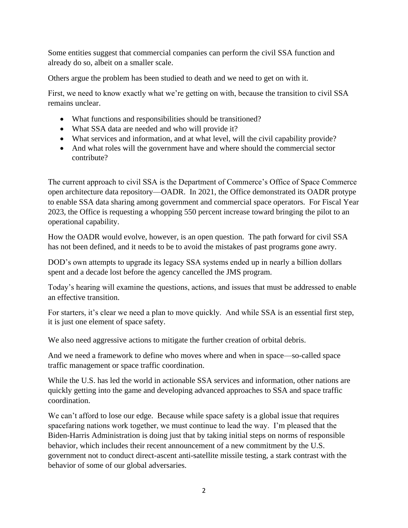Some entities suggest that commercial companies can perform the civil SSA function and already do so, albeit on a smaller scale.

Others argue the problem has been studied to death and we need to get on with it.

First, we need to know exactly what we're getting on with, because the transition to civil SSA remains unclear.

- What functions and responsibilities should be transitioned?
- What SSA data are needed and who will provide it?
- What services and information, and at what level, will the civil capability provide?
- And what roles will the government have and where should the commercial sector contribute?

The current approach to civil SSA is the Department of Commerce's Office of Space Commerce open architecture data repository—OADR. In 2021, the Office demonstrated its OADR protype to enable SSA data sharing among government and commercial space operators. For Fiscal Year 2023, the Office is requesting a whopping 550 percent increase toward bringing the pilot to an operational capability.

How the OADR would evolve, however, is an open question. The path forward for civil SSA has not been defined, and it needs to be to avoid the mistakes of past programs gone awry.

DOD's own attempts to upgrade its legacy SSA systems ended up in nearly a billion dollars spent and a decade lost before the agency cancelled the JMS program.

Today's hearing will examine the questions, actions, and issues that must be addressed to enable an effective transition.

For starters, it's clear we need a plan to move quickly. And while SSA is an essential first step, it is just one element of space safety.

We also need aggressive actions to mitigate the further creation of orbital debris.

And we need a framework to define who moves where and when in space—so-called space traffic management or space traffic coordination.

While the U.S. has led the world in actionable SSA services and information, other nations are quickly getting into the game and developing advanced approaches to SSA and space traffic coordination.

We can't afford to lose our edge. Because while space safety is a global issue that requires spacefaring nations work together, we must continue to lead the way. I'm pleased that the Biden-Harris Administration is doing just that by taking initial steps on norms of responsible behavior, which includes their recent announcement of a new commitment by the U.S. government not to conduct direct-ascent anti-satellite missile testing, a stark contrast with the behavior of some of our global adversaries.